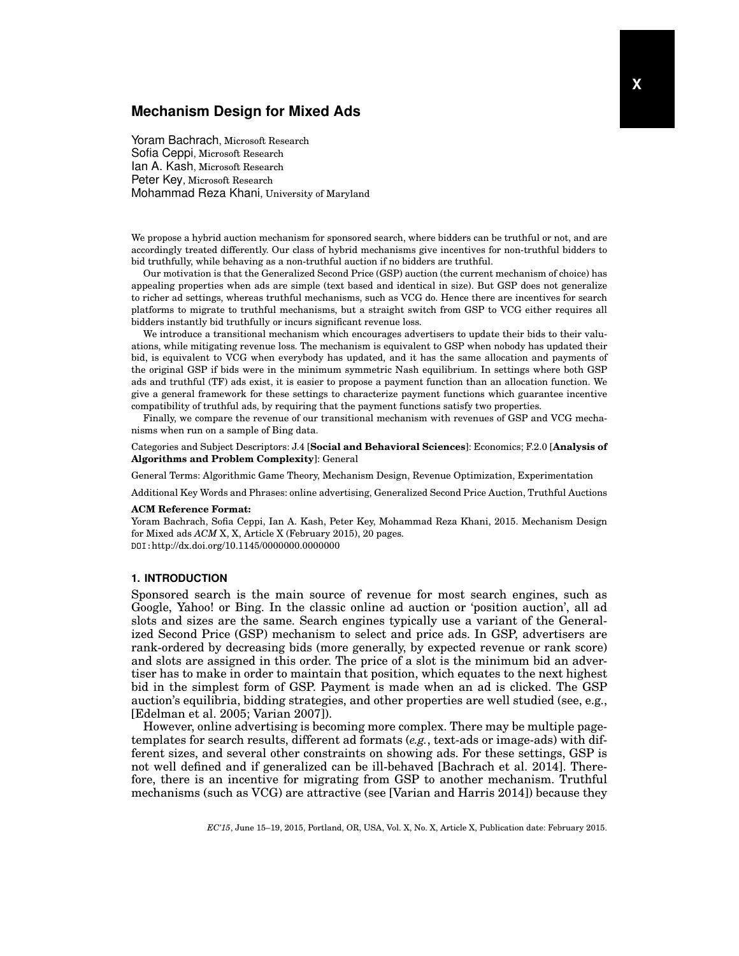# **Mechanism Design for Mixed Ads**

Yoram Bachrach, Microsoft Research Sofia Ceppi, Microsoft Research Ian A. Kash, Microsoft Research Peter Key, Microsoft Research Mohammad Reza Khani, University of Maryland

We propose a hybrid auction mechanism for sponsored search, where bidders can be truthful or not, and are accordingly treated differently. Our class of hybrid mechanisms give incentives for non-truthful bidders to bid truthfully, while behaving as a non-truthful auction if no bidders are truthful.

Our motivation is that the Generalized Second Price (GSP) auction (the current mechanism of choice) has appealing properties when ads are simple (text based and identical in size). But GSP does not generalize to richer ad settings, whereas truthful mechanisms, such as VCG do. Hence there are incentives for search platforms to migrate to truthful mechanisms, but a straight switch from GSP to VCG either requires all bidders instantly bid truthfully or incurs significant revenue loss.

We introduce a transitional mechanism which encourages advertisers to update their bids to their valuations, while mitigating revenue loss. The mechanism is equivalent to GSP when nobody has updated their bid, is equivalent to VCG when everybody has updated, and it has the same allocation and payments of the original GSP if bids were in the minimum symmetric Nash equilibrium. In settings where both GSP ads and truthful (TF) ads exist, it is easier to propose a payment function than an allocation function. We give a general framework for these settings to characterize payment functions which guarantee incentive compatibility of truthful ads, by requiring that the payment functions satisfy two properties.

Finally, we compare the revenue of our transitional mechanism with revenues of GSP and VCG mechanisms when run on a sample of Bing data.

Categories and Subject Descriptors: J.4 [**Social and Behavioral Sciences**]: Economics; F.2.0 [**Analysis of Algorithms and Problem Complexity**]: General

General Terms: Algorithmic Game Theory, Mechanism Design, Revenue Optimization, Experimentation

Additional Key Words and Phrases: online advertising, Generalized Second Price Auction, Truthful Auctions

### **ACM Reference Format:**

Yoram Bachrach, Sofia Ceppi, Ian A. Kash, Peter Key, Mohammad Reza Khani, 2015. Mechanism Design for Mixed ads *ACM* X, X, Article X (February 2015), 20 pages. DOI:http://dx.doi.org/10.1145/0000000.0000000

## **1. INTRODUCTION**

Sponsored search is the main source of revenue for most search engines, such as Google, Yahoo! or Bing. In the classic online ad auction or 'position auction', all ad slots and sizes are the same. Search engines typically use a variant of the Generalized Second Price (GSP) mechanism to select and price ads. In GSP, advertisers are rank-ordered by decreasing bids (more generally, by expected revenue or rank score) and slots are assigned in this order. The price of a slot is the minimum bid an advertiser has to make in order to maintain that position, which equates to the next highest bid in the simplest form of GSP. Payment is made when an ad is clicked. The GSP auction's equilibria, bidding strategies, and other properties are well studied (see, e.g., [Edelman et al. 2005; Varian 2007]).

However, online advertising is becoming more complex. There may be multiple pagetemplates for search results, different ad formats (*e.g.*, text-ads or image-ads) with different sizes, and several other constraints on showing ads. For these settings, GSP is not well defined and if generalized can be ill-behaved [Bachrach et al. 2014]. Therefore, there is an incentive for migrating from GSP to another mechanism. Truthful mechanisms (such as VCG) are attractive (see [Varian and Harris 2014]) because they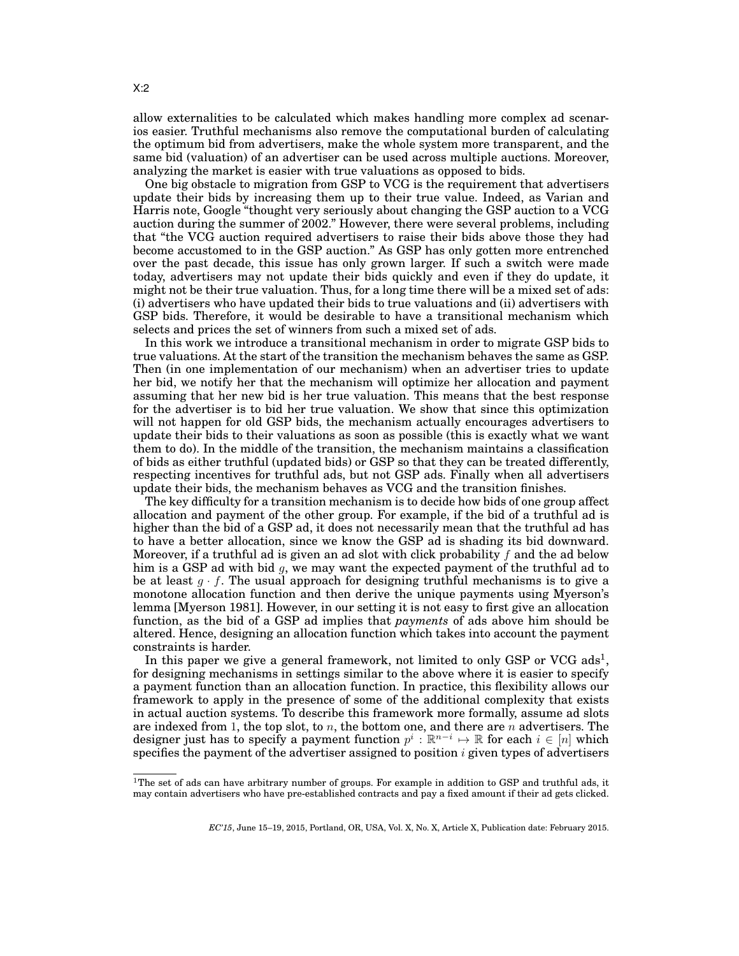allow externalities to be calculated which makes handling more complex ad scenarios easier. Truthful mechanisms also remove the computational burden of calculating the optimum bid from advertisers, make the whole system more transparent, and the same bid (valuation) of an advertiser can be used across multiple auctions. Moreover, analyzing the market is easier with true valuations as opposed to bids.

One big obstacle to migration from GSP to VCG is the requirement that advertisers update their bids by increasing them up to their true value. Indeed, as Varian and Harris note, Google "thought very seriously about changing the GSP auction to a VCG auction during the summer of 2002." However, there were several problems, including that "the VCG auction required advertisers to raise their bids above those they had become accustomed to in the GSP auction." As GSP has only gotten more entrenched over the past decade, this issue has only grown larger. If such a switch were made today, advertisers may not update their bids quickly and even if they do update, it might not be their true valuation. Thus, for a long time there will be a mixed set of ads: (i) advertisers who have updated their bids to true valuations and (ii) advertisers with GSP bids. Therefore, it would be desirable to have a transitional mechanism which selects and prices the set of winners from such a mixed set of ads.

In this work we introduce a transitional mechanism in order to migrate GSP bids to true valuations. At the start of the transition the mechanism behaves the same as GSP. Then (in one implementation of our mechanism) when an advertiser tries to update her bid, we notify her that the mechanism will optimize her allocation and payment assuming that her new bid is her true valuation. This means that the best response for the advertiser is to bid her true valuation. We show that since this optimization will not happen for old GSP bids, the mechanism actually encourages advertisers to update their bids to their valuations as soon as possible (this is exactly what we want them to do). In the middle of the transition, the mechanism maintains a classification of bids as either truthful (updated bids) or GSP so that they can be treated differently, respecting incentives for truthful ads, but not GSP ads. Finally when all advertisers update their bids, the mechanism behaves as VCG and the transition finishes.

The key difficulty for a transition mechanism is to decide how bids of one group affect allocation and payment of the other group. For example, if the bid of a truthful ad is higher than the bid of a GSP ad, it does not necessarily mean that the truthful ad has to have a better allocation, since we know the GSP ad is shading its bid downward. Moreover, if a truthful ad is given an ad slot with click probability  $f$  and the ad below him is a GSP ad with bid  $g$ , we may want the expected payment of the truthful ad to be at least  $g \cdot f$ . The usual approach for designing truthful mechanisms is to give a monotone allocation function and then derive the unique payments using Myerson's lemma [Myerson 1981]. However, in our setting it is not easy to first give an allocation function, as the bid of a GSP ad implies that *payments* of ads above him should be altered. Hence, designing an allocation function which takes into account the payment constraints is harder.

In this paper we give a general framework, not limited to only GSP or VCG ads<sup>1</sup>, for designing mechanisms in settings similar to the above where it is easier to specify a payment function than an allocation function. In practice, this flexibility allows our framework to apply in the presence of some of the additional complexity that exists in actual auction systems. To describe this framework more formally, assume ad slots are indexed from 1, the top slot, to  $n$ , the bottom one, and there are  $n$  advertisers. The designer just has to specify a payment function  $p^i: \mathbb{R}^{n-i} \mapsto \mathbb{R}$  for each  $i \in [n]$  which specifies the payment of the advertiser assigned to position  $i$  given types of advertisers

 $1$ The set of ads can have arbitrary number of groups. For example in addition to GSP and truthful ads, it may contain advertisers who have pre-established contracts and pay a fixed amount if their ad gets clicked.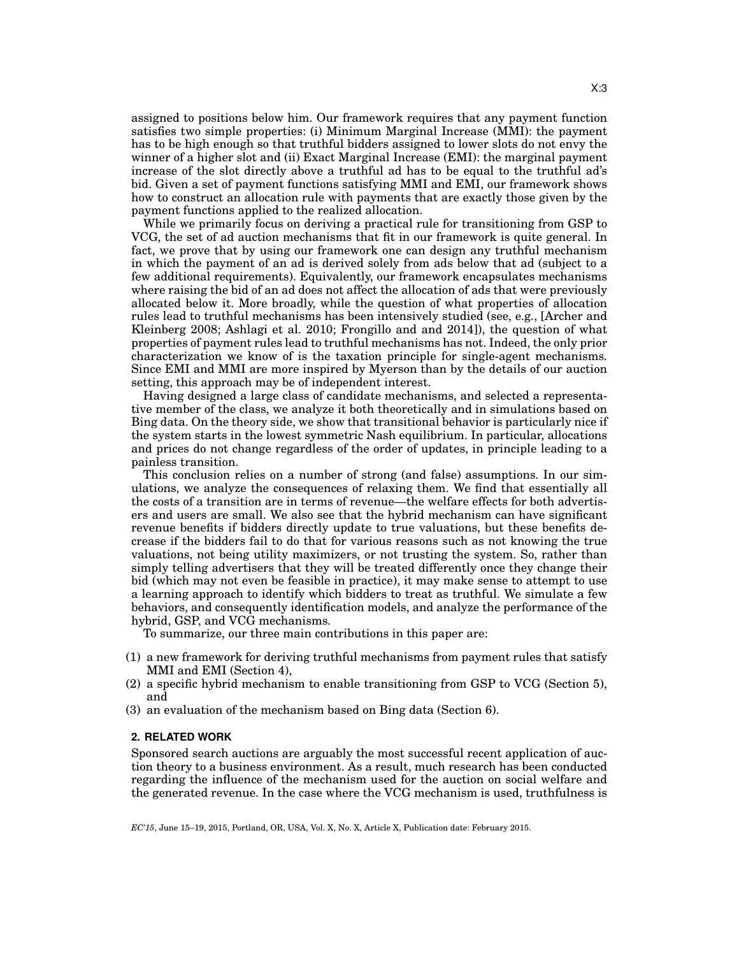assigned to positions below him. Our framework requires that any payment function satisfies two simple properties: (i) Minimum Marginal Increase (MMI): the payment has to be high enough so that truthful bidders assigned to lower slots do not envy the winner of a higher slot and (ii) Exact Marginal Increase (EMI): the marginal payment increase of the slot directly above a truthful ad has to be equal to the truthful ad's bid. Given a set of payment functions satisfying MMI and EMI, our framework shows how to construct an allocation rule with payments that are exactly those given by the payment functions applied to the realized allocation.

While we primarily focus on deriving a practical rule for transitioning from GSP to VCG, the set of ad auction mechanisms that fit in our framework is quite general. In fact, we prove that by using our framework one can design any truthful mechanism in which the payment of an ad is derived solely from ads below that ad (subject to a few additional requirements). Equivalently, our framework encapsulates mechanisms where raising the bid of an ad does not affect the allocation of ads that were previously allocated below it. More broadly, while the question of what properties of allocation rules lead to truthful mechanisms has been intensively studied (see, e.g., [Archer and Kleinberg 2008; Ashlagi et al. 2010; Frongillo and and 2014]), the question of what properties of payment rules lead to truthful mechanisms has not. Indeed, the only prior characterization we know of is the taxation principle for single-agent mechanisms. Since EMI and MMI are more inspired by Myerson than by the details of our auction setting, this approach may be of independent interest.

Having designed a large class of candidate mechanisms, and selected a representative member of the class, we analyze it both theoretically and in simulations based on Bing data. On the theory side, we show that transitional behavior is particularly nice if the system starts in the lowest symmetric Nash equilibrium. In particular, allocations and prices do not change regardless of the order of updates, in principle leading to a painless transition.

This conclusion relies on a number of strong (and false) assumptions. In our simulations, we analyze the consequences of relaxing them. We find that essentially all the costs of a transition are in terms of revenue—the welfare effects for both advertisers and users are small. We also see that the hybrid mechanism can have significant revenue benefits if bidders directly update to true valuations, but these benefits decrease if the bidders fail to do that for various reasons such as not knowing the true valuations, not being utility maximizers, or not trusting the system. So, rather than simply telling advertisers that they will be treated differently once they change their bid (which may not even be feasible in practice), it may make sense to attempt to use a learning approach to identify which bidders to treat as truthful. We simulate a few behaviors, and consequently identification models, and analyze the performance of the hybrid, GSP, and VCG mechanisms.

To summarize, our three main contributions in this paper are:

- (1) a new framework for deriving truthful mechanisms from payment rules that satisfy MMI and EMI (Section 4),
- (2) a specific hybrid mechanism to enable transitioning from GSP to VCG (Section 5), and
- (3) an evaluation of the mechanism based on Bing data (Section 6).

## **2. RELATED WORK**

Sponsored search auctions are arguably the most successful recent application of auction theory to a business environment. As a result, much research has been conducted regarding the influence of the mechanism used for the auction on social welfare and the generated revenue. In the case where the VCG mechanism is used, truthfulness is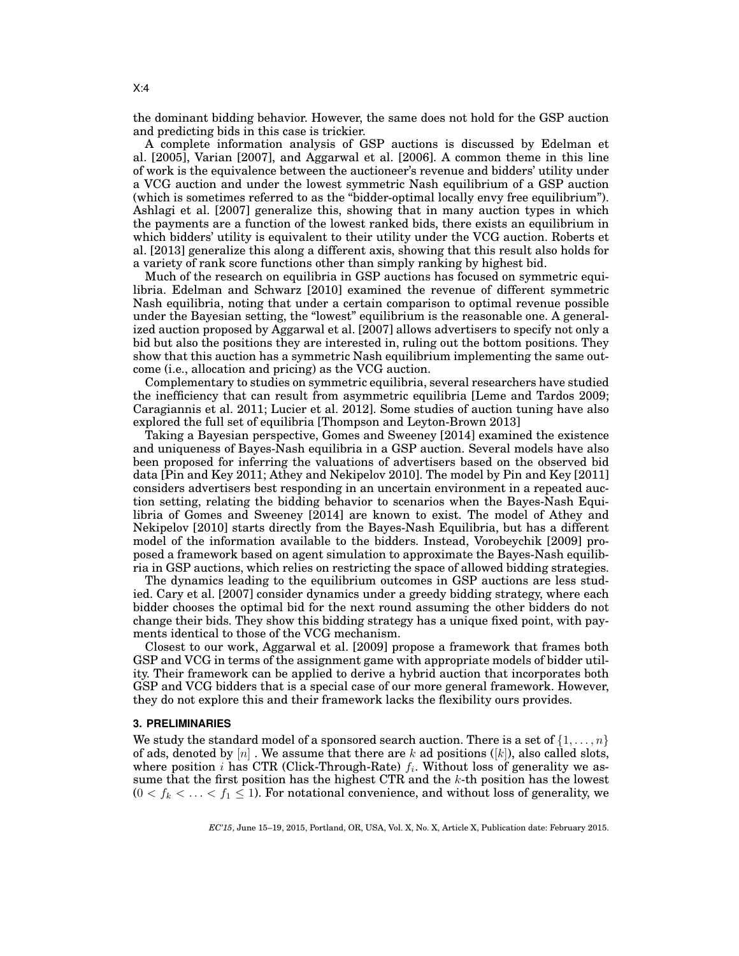the dominant bidding behavior. However, the same does not hold for the GSP auction and predicting bids in this case is trickier.

A complete information analysis of GSP auctions is discussed by Edelman et al. [2005], Varian [2007], and Aggarwal et al. [2006]. A common theme in this line of work is the equivalence between the auctioneer's revenue and bidders' utility under a VCG auction and under the lowest symmetric Nash equilibrium of a GSP auction (which is sometimes referred to as the "bidder-optimal locally envy free equilibrium"). Ashlagi et al. [2007] generalize this, showing that in many auction types in which the payments are a function of the lowest ranked bids, there exists an equilibrium in which bidders' utility is equivalent to their utility under the VCG auction. Roberts et al. [2013] generalize this along a different axis, showing that this result also holds for a variety of rank score functions other than simply ranking by highest bid.

Much of the research on equilibria in GSP auctions has focused on symmetric equilibria. Edelman and Schwarz [2010] examined the revenue of different symmetric Nash equilibria, noting that under a certain comparison to optimal revenue possible under the Bayesian setting, the "lowest" equilibrium is the reasonable one. A generalized auction proposed by Aggarwal et al. [2007] allows advertisers to specify not only a bid but also the positions they are interested in, ruling out the bottom positions. They show that this auction has a symmetric Nash equilibrium implementing the same outcome (i.e., allocation and pricing) as the VCG auction.

Complementary to studies on symmetric equilibria, several researchers have studied the inefficiency that can result from asymmetric equilibria [Leme and Tardos 2009; Caragiannis et al. 2011; Lucier et al. 2012]. Some studies of auction tuning have also explored the full set of equilibria [Thompson and Leyton-Brown 2013]

Taking a Bayesian perspective, Gomes and Sweeney [2014] examined the existence and uniqueness of Bayes-Nash equilibria in a GSP auction. Several models have also been proposed for inferring the valuations of advertisers based on the observed bid data [Pin and Key 2011; Athey and Nekipelov 2010]. The model by Pin and Key [2011] considers advertisers best responding in an uncertain environment in a repeated auction setting, relating the bidding behavior to scenarios when the Bayes-Nash Equilibria of Gomes and Sweeney [2014] are known to exist. The model of Athey and Nekipelov [2010] starts directly from the Bayes-Nash Equilibria, but has a different model of the information available to the bidders. Instead, Vorobeychik [2009] proposed a framework based on agent simulation to approximate the Bayes-Nash equilibria in GSP auctions, which relies on restricting the space of allowed bidding strategies.

The dynamics leading to the equilibrium outcomes in GSP auctions are less studied. Cary et al. [2007] consider dynamics under a greedy bidding strategy, where each bidder chooses the optimal bid for the next round assuming the other bidders do not change their bids. They show this bidding strategy has a unique fixed point, with payments identical to those of the VCG mechanism.

Closest to our work, Aggarwal et al. [2009] propose a framework that frames both GSP and VCG in terms of the assignment game with appropriate models of bidder utility. Their framework can be applied to derive a hybrid auction that incorporates both GSP and VCG bidders that is a special case of our more general framework. However, they do not explore this and their framework lacks the flexibility ours provides.

## **3. PRELIMINARIES**

We study the standard model of a sponsored search auction. There is a set of  $\{1, \ldots, n\}$ of ads, denoted by  $[n]$ . We assume that there are k ad positions ([k]), also called slots, where position  $i$  has CTR (Click-Through-Rate)  $f_i$ . Without loss of generality we assume that the first position has the highest CTR and the  $k$ -th position has the lowest  $(0 < f_k < \ldots < f_1 \leq 1)$ . For notational convenience, and without loss of generality, we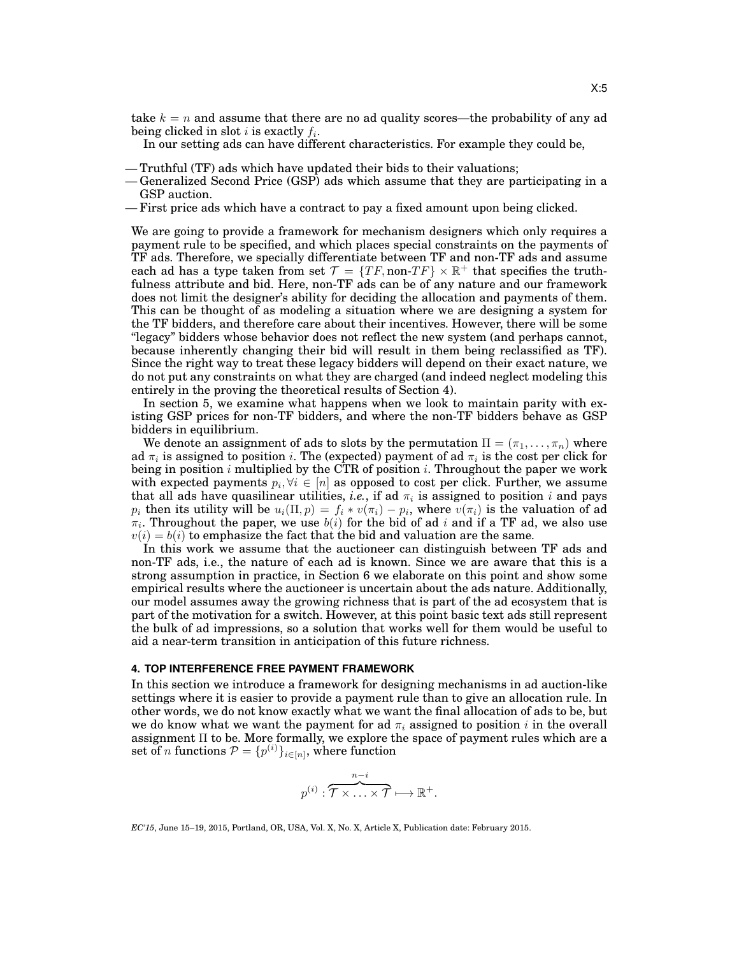take  $k = n$  and assume that there are no ad quality scores—the probability of any ad being clicked in slot  $i$  is exactly  $f_i.$ 

In our setting ads can have different characteristics. For example they could be,

- Truthful (TF) ads which have updated their bids to their valuations;
- Generalized Second Price (GSP) ads which assume that they are participating in a GSP auction.
- First price ads which have a contract to pay a fixed amount upon being clicked.

We are going to provide a framework for mechanism designers which only requires a payment rule to be specified, and which places special constraints on the payments of TF ads. Therefore, we specially differentiate between TF and non-TF ads and assume each ad has a type taken from set  $\mathcal{T} = \{TF, non-TF\} \times \mathbb{R}^+$  that specifies the truthfulness attribute and bid. Here, non-TF ads can be of any nature and our framework does not limit the designer's ability for deciding the allocation and payments of them. This can be thought of as modeling a situation where we are designing a system for the TF bidders, and therefore care about their incentives. However, there will be some "legacy" bidders whose behavior does not reflect the new system (and perhaps cannot, because inherently changing their bid will result in them being reclassified as TF). Since the right way to treat these legacy bidders will depend on their exact nature, we do not put any constraints on what they are charged (and indeed neglect modeling this entirely in the proving the theoretical results of Section 4).

In section 5, we examine what happens when we look to maintain parity with existing GSP prices for non-TF bidders, and where the non-TF bidders behave as GSP bidders in equilibrium.

We denote an assignment of ads to slots by the permutation  $\Pi = (\pi_1, \dots, \pi_n)$  where ad  $\pi_i$  is assigned to position i. The (expected) payment of ad  $\pi_i$  is the cost per click for being in position i multiplied by the CTR of position i. Throughout the paper we work with expected payments  $p_i, \forall i \in [n]$  as opposed to cost per click. Further, we assume that all ads have quasilinear utilities, *i.e.*, if ad  $\pi_i$  is assigned to position *i* and pays  $p_i$  then its utility will be  $u_i(\Pi, p) = f_i * v(\pi_i) - p_i$ , where  $v(\pi_i)$  is the valuation of ad  $\pi_i.$  Throughout the paper, we use  $b(i)$  for the bid of ad  $i$  and if a TF ad, we also use  $v(i) = b(i)$  to emphasize the fact that the bid and valuation are the same.

In this work we assume that the auctioneer can distinguish between TF ads and non-TF ads, i.e., the nature of each ad is known. Since we are aware that this is a strong assumption in practice, in Section 6 we elaborate on this point and show some empirical results where the auctioneer is uncertain about the ads nature. Additionally, our model assumes away the growing richness that is part of the ad ecosystem that is part of the motivation for a switch. However, at this point basic text ads still represent the bulk of ad impressions, so a solution that works well for them would be useful to aid a near-term transition in anticipation of this future richness.

#### **4. TOP INTERFERENCE FREE PAYMENT FRAMEWORK**

In this section we introduce a framework for designing mechanisms in ad auction-like settings where it is easier to provide a payment rule than to give an allocation rule. In other words, we do not know exactly what we want the final allocation of ads to be, but we do know what we want the payment for ad  $\pi_i$  assigned to position i in the overall assignment Π to be. More formally, we explore the space of payment rules which are a  $\text{set of }n \text{ functions } \mathcal{P} = \{p^{(i)}\}_{i \in [n]}, \text{ where function }$ 

$$
p^{(i)} : \overbrace{\mathcal{T} \times \ldots \times \mathcal{T}}^{n-i} \longmapsto \mathbb{R}^+.
$$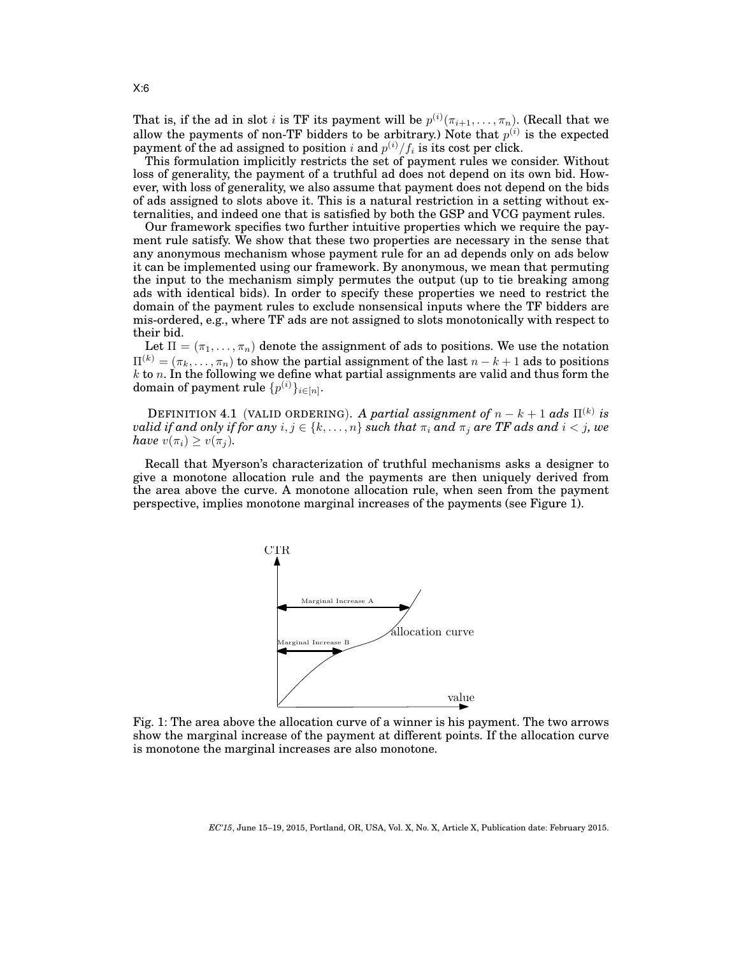That is, if the ad in slot i is TF its payment will be  $p^{(i)}(\pi_{i+1},\ldots,\pi_n)$ . (Recall that we allow the payments of non-TF bidders to be arbitrary.) Note that  $p^{(i)}$  is the expected payment of the ad assigned to position  $i$  and  $p^{(i)}/f_i$  is its cost per click.

This formulation implicitly restricts the set of payment rules we consider. Without loss of generality, the payment of a truthful ad does not depend on its own bid. However, with loss of generality, we also assume that payment does not depend on the bids of ads assigned to slots above it. This is a natural restriction in a setting without externalities, and indeed one that is satisfied by both the GSP and VCG payment rules.

Our framework specifies two further intuitive properties which we require the payment rule satisfy. We show that these two properties are necessary in the sense that any anonymous mechanism whose payment rule for an ad depends only on ads below it can be implemented using our framework. By anonymous, we mean that permuting the input to the mechanism simply permutes the output (up to tie breaking among ads with identical bids). In order to specify these properties we need to restrict the domain of the payment rules to exclude nonsensical inputs where the TF bidders are mis-ordered, e.g., where TF ads are not assigned to slots monotonically with respect to their bid.

Let  $\Pi = (\pi_1, \dots, \pi_n)$  denote the assignment of ads to positions. We use the notation  $\Pi^{(k)} = (\pi_k, \dots, \pi_n)$  to show the partial assignment of the last  $n - k + 1$  ads to positions  $k$  to n. In the following we define what partial assignments are valid and thus form the  $\text{domain of payment rule}~\{p^{(i)}\}_{i\in[n]}.$ 

DEFINITION 4.1 (VALID ORDERING). *A partial assignment of*  $n-k+1$  *ads*  $\Pi^{(k)}$  *is valid if and only if for any*  $i, j \in \{k, ..., n\}$  *such that*  $\pi_i$  *and*  $\pi_j$  *are TF ads and*  $i < j$ *, we have*  $v(\pi_i) > v(\pi_i)$ .

Recall that Myerson's characterization of truthful mechanisms asks a designer to give a monotone allocation rule and the payments are then uniquely derived from the area above the curve. A monotone allocation rule, when seen from the payment perspective, implies monotone marginal increases of the payments (see Figure 1).



Fig. 1: The area above the allocation curve of a winner is his payment. The two arrows show the marginal increase of the payment at different points. If the allocation curve is monotone the marginal increases are also monotone.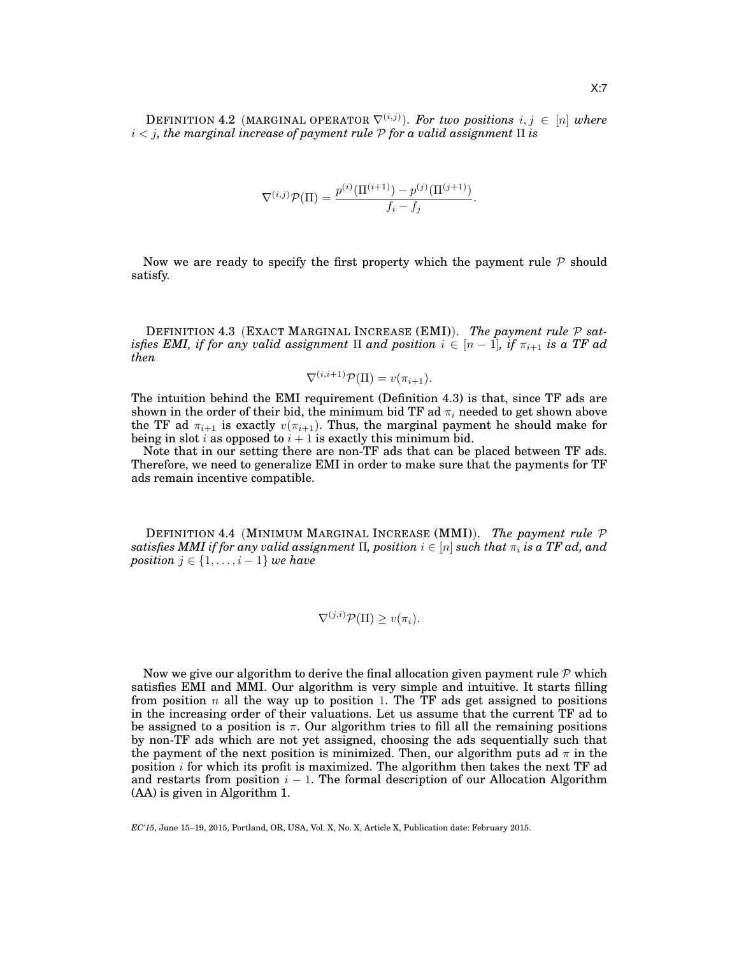DEFINITION 4.2 (MARGINAL OPERATOR  $\nabla^{(i,j)}$ ). *For two positions*  $i,j \, \in \, [n]$  where i < j*, the marginal increase of payment rule* P *for a valid assignment* Π *is*

$$
\nabla^{(i,j)} \mathcal{P}(\Pi) = \frac{p^{(i)}(\Pi^{(i+1)}) - p^{(j)}(\Pi^{(j+1)})}{f_i - f_j}.
$$

Now we are ready to specify the first property which the payment rule  $P$  should satisfy.

DEFINITION 4.3 (EXACT MARGINAL INCREASE (EMI)). *The payment rule* P *satisfies EMI, if for any valid assignment*  $\Pi$  *and position*  $i \in [n-1]$ *, if*  $\pi_{i+1}$  *is a TF ad then*

$$
\nabla^{(i,i+1)} \mathcal{P}(\Pi) = v(\pi_{i+1}).
$$

The intuition behind the EMI requirement (Definition 4.3) is that, since TF ads are shown in the order of their bid, the minimum bid TF ad  $\pi_i$  needed to get shown above the TF ad  $\pi_{i+1}$  is exactly  $v(\pi_{i+1})$ . Thus, the marginal payment he should make for being in slot i as opposed to  $i + 1$  is exactly this minimum bid.

Note that in our setting there are non-TF ads that can be placed between TF ads. Therefore, we need to generalize EMI in order to make sure that the payments for TF ads remain incentive compatible.

DEFINITION 4.4 (MINIMUM MARGINAL INCREASE (MMI)). *The payment rule* P *satisfies MMI if for any valid assignment*  $\Pi$ , position  $i \in [n]$  *such that*  $\pi_i$  *is a TF ad, and position*  $j \in \{1, \ldots, i-1\}$  *we have* 

$$
\nabla^{(j,i)}\mathcal{P}(\Pi) \ge v(\pi_i).
$$

Now we give our algorithm to derive the final allocation given payment rule  $P$  which satisfies EMI and MMI. Our algorithm is very simple and intuitive. It starts filling from position n all the way up to position 1. The  $TF$  ads get assigned to positions in the increasing order of their valuations. Let us assume that the current TF ad to be assigned to a position is  $\pi$ . Our algorithm tries to fill all the remaining positions by non-TF ads which are not yet assigned, choosing the ads sequentially such that the payment of the next position is minimized. Then, our algorithm puts ad  $\pi$  in the position  $i$  for which its profit is maximized. The algorithm then takes the next TF ad and restarts from position  $i - 1$ . The formal description of our Allocation Algorithm (AA) is given in Algorithm 1.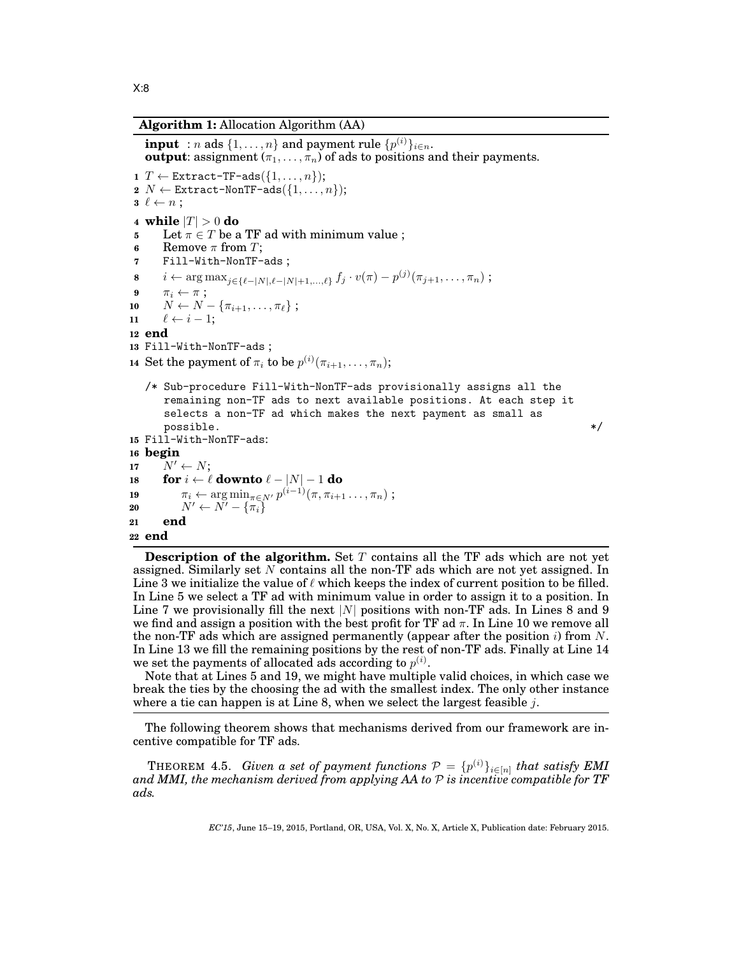## **Algorithm 1:** Allocation Algorithm (AA)

```
\textbf{input} \hspace{0.2cm}:\hspace{0.2cm} n \text{ ads } \{ 1, \ldots, n \} \text{ and payment rule } \{p^{(i)}\}_{i \in n}.output: assignment (\pi_1, \ldots, \pi_n) of ads to positions and their payments.
 1 T \leftarrow Extract-TF-ads({\{1, \ldots, n\});
 2 N \leftarrow Extract-NonTF-ads({1, ..., n});
 \mathbf{3} \ell \leftarrow n;
 4 while |T| > 0 do
 5 Let \pi \in T be a TF ad with minimum value ;
 6 Remove \pi from T;
 7 Fill-With-NonTF-ads ;
 8 i ← arg max<sub>j∈{l-|N|,l-|N|+1,...,l}</sub> f_j \cdot v(\pi) - p^{(j)}(\pi_{j+1}, \ldots, \pi_n);
 9 \pi_i \leftarrow \pi;
10 N \leftarrow N - \{\pi_{i+1}, \ldots, \pi_{\ell}\};11 \ell \leftarrow i - 1;12 end
13 Fill-With-NonTF-ads ;
14 Set the payment of \pi_i to be p^{(i)}(\pi_{i+1}, \ldots, \pi_n);/* Sub-procedure Fill-With-NonTF-ads provisionally assigns all the
       remaining non-TF ads to next available positions. At each step it
       selects a non-TF ad which makes the next payment as small as
       \gamma possible. \ast/15 Fill-With-NonTF-ads:
16 begin
17 N' \leftarrow N;
18 for i \leftarrow \ell downto \ell - |N| - 1 do
19 \pi_i \leftarrow \arg \min_{\pi \in N'} p^{(i-1)}(\pi, \pi_{i+1} \dots, \pi_n);20 N' \leftarrow N' - {\lbrace \pi_i \rbrace}21 end
22 end
```
**Description of the algorithm.** Set  $T$  contains all the TF ads which are not yet assigned. Similarly set  $N$  contains all the non-TF ads which are not yet assigned. In Line 3 we initialize the value of  $\ell$  which keeps the index of current position to be filled. In Line 5 we select a TF ad with minimum value in order to assign it to a position. In Line 7 we provisionally fill the next  $|N|$  positions with non-TF ads. In Lines 8 and 9 we find and assign a position with the best profit for TF ad  $\pi$ . In Line 10 we remove all the non-TF ads which are assigned permanently (appear after the position  $i$ ) from N. In Line 13 we fill the remaining positions by the rest of non-TF ads. Finally at Line 14 we set the payments of allocated ads according to  $p^{(i)}$ .

Note that at Lines 5 and 19, we might have multiple valid choices, in which case we break the ties by the choosing the ad with the smallest index. The only other instance where a tie can happen is at Line 8, when we select the largest feasible  $j$ .

The following theorem shows that mechanisms derived from our framework are incentive compatible for TF ads.

THEOREM 4.5. *Given a set of payment functions*  $\mathcal{P} = \{p^{(i)}\}_{i \in [n]}$  that satisfy EMI *and MMI, the mechanism derived from applying AA to* P *is incentive compatible for TF ads.*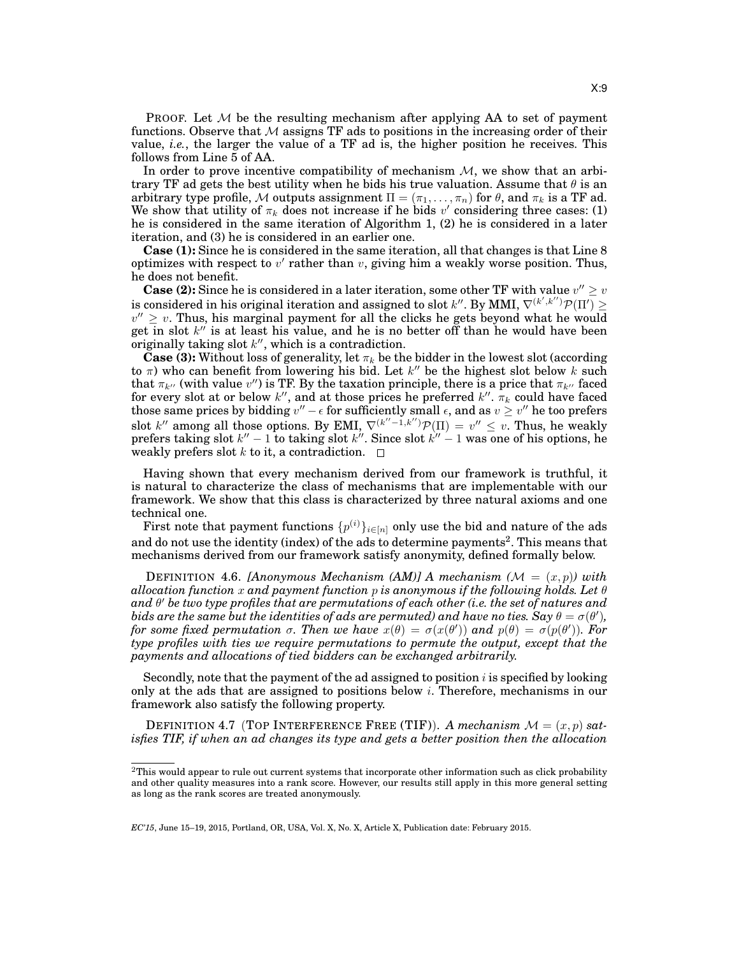PROOF. Let  $M$  be the resulting mechanism after applying AA to set of payment functions. Observe that  $M$  assigns TF ads to positions in the increasing order of their value, *i.e.*, the larger the value of a TF ad is, the higher position he receives. This follows from Line 5 of AA.

In order to prove incentive compatibility of mechanism  $M$ , we show that an arbitrary TF ad gets the best utility when he bids his true valuation. Assume that  $\theta$  is an arbitrary type profile, M outputs assignment  $\Pi = (\pi_1, \dots, \pi_n)$  for  $\theta$ , and  $\pi_k$  is a TF ad. We show that utility of  $\pi_k$  does not increase if he bids  $v'$  considering three cases: (1) he is considered in the same iteration of Algorithm 1, (2) he is considered in a later iteration, and (3) he is considered in an earlier one.

**Case (1):** Since he is considered in the same iteration, all that changes is that Line 8 optimizes with respect to  $v'$  rather than  $v$ , giving him a weakly worse position. Thus, he does not benefit.

**Case (2):** Since he is considered in a later iteration, some other TF with value  $v'' \geq v$ is considered in his original iteration and assigned to slot  $k''.$  By MMI,  $\nabla^{(k',k'')}\mathcal{P}(\Pi')\geq$  $v'' \geq v$ . Thus, his marginal payment for all the clicks he gets beyond what he would get in slot  $k''$  is at least his value, and he is no better off than he would have been originally taking slot  $k''$ , which is a contradiction.

**Case (3):** Without loss of generality, let  $\pi_k$  be the bidder in the lowest slot (according to  $\pi$ ) who can benefit from lowering his bid. Let k'' be the highest slot below k such that  $\pi_{k''}$  (with value  $v'$ ) is TF. By the taxation principle, there is a price that  $\pi_{k''}$  faced for every slot at or below  $k''$ , and at those prices he preferred  $k''$ .  $\pi_k$  could have faced those same prices by bidding  $v'' - \epsilon$  for sufficiently small  $\epsilon$ , and as  $v \geq v''$  he too prefers slot k'' among all those options. By EMI,  $\nabla^{(k''-1,k'')}\mathcal{P}(\Pi) = v'' \leq v$ . Thus, he weakly prefers taking slot  $k'' - 1$  to taking slot  $k''$ . Since slot  $k'' - 1$  was one of his options, he weakly prefers slot k to it, a contradiction.  $\Box$ 

Having shown that every mechanism derived from our framework is truthful, it is natural to characterize the class of mechanisms that are implementable with our framework. We show that this class is characterized by three natural axioms and one technical one.

First note that payment functions  $\{p^{(i)}\}_{i\in[n]}$  only use the bid and nature of the ads and do not use the identity (index) of the ads to determine payments<sup>2</sup>. This means that mechanisms derived from our framework satisfy anonymity, defined formally below.

**DEFINITION 4.6.** *[Anonymous Mechanism (AM)] A mechanism (* $\mathcal{M} = (x, p)$ *) with allocation function* x *and payment function* p *is anonymous if the following holds. Let* θ and  $\theta'$  be two type profiles that are permutations of each other (i.e. the set of natures and bids are the same but the identities of ads are permuted) and have no ties. Say  $\theta = \sigma(\theta'),$ *for some fixed permutation*  $\sigma$ *. Then we have*  $x(\theta) = \sigma(x(\theta'))$  and  $p(\theta) = \sigma(p(\theta'))$ *. For type profiles with ties we require permutations to permute the output, except that the payments and allocations of tied bidders can be exchanged arbitrarily.*

Secondly, note that the payment of the ad assigned to position  $i$  is specified by looking only at the ads that are assigned to positions below i. Therefore, mechanisms in our framework also satisfy the following property.

**DEFINITION 4.7** (TOP INTERFERENCE FREE (TIF)). A mechanism  $\mathcal{M} = (x, p)$  sat*isfies TIF, if when an ad changes its type and gets a better position then the allocation*

 $2$ This would appear to rule out current systems that incorporate other information such as click probability and other quality measures into a rank score. However, our results still apply in this more general setting as long as the rank scores are treated anonymously.

*EC'15*, June 15–19, 2015, Portland, OR, USA, Vol. X, No. X, Article X, Publication date: February 2015.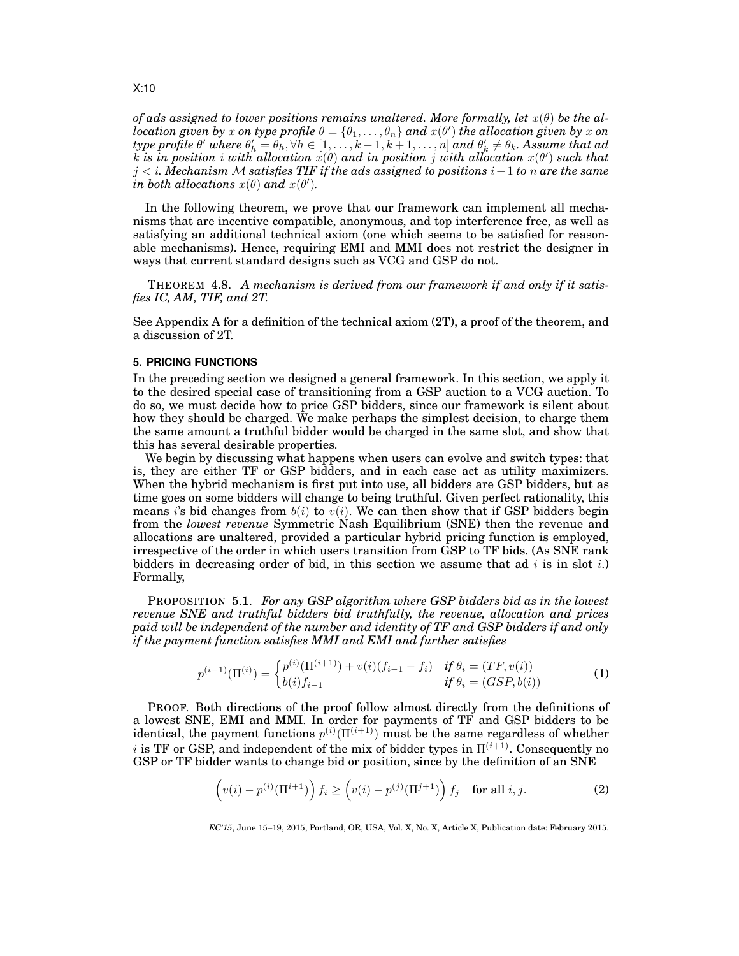*of ads assigned to lower positions remains unaltered. More formally, let*  $x(\theta)$  *be the allocation given by*  $x$  *on type profile*  $\theta = \{\theta_1, \dots, \theta_n\}$  *and*  $x(\theta')$  *the allocation given by*  $x$  *on type profile*  $\theta'$  *where*  $\theta'_h = \theta_h, \forall h \in [1, \ldots, k-1, k+1, \ldots, n]$  *and*  $\theta'_k \neq \theta_k$ *. Assume that ad* k is in position i with allocation  $x(\theta)$  and in position j with allocation  $x(\theta')$  such that  $j < i$ . Mechanism M satisfies TIF if the ads assigned to positions  $i+1$  to  $n$  are the same  $\hat{a}$ *in both allocations*  $x(\theta)$  *and*  $x(\theta')$ *.* 

In the following theorem, we prove that our framework can implement all mechanisms that are incentive compatible, anonymous, and top interference free, as well as satisfying an additional technical axiom (one which seems to be satisfied for reasonable mechanisms). Hence, requiring EMI and MMI does not restrict the designer in ways that current standard designs such as VCG and GSP do not.

THEOREM 4.8. *A mechanism is derived from our framework if and only if it satisfies IC, AM, TIF, and 2T.*

See Appendix A for a definition of the technical axiom (2T), a proof of the theorem, and a discussion of 2T.

#### **5. PRICING FUNCTIONS**

In the preceding section we designed a general framework. In this section, we apply it to the desired special case of transitioning from a GSP auction to a VCG auction. To do so, we must decide how to price GSP bidders, since our framework is silent about how they should be charged. We make perhaps the simplest decision, to charge them the same amount a truthful bidder would be charged in the same slot, and show that this has several desirable properties.

We begin by discussing what happens when users can evolve and switch types: that is, they are either TF or GSP bidders, and in each case act as utility maximizers. When the hybrid mechanism is first put into use, all bidders are GSP bidders, but as time goes on some bidders will change to being truthful. Given perfect rationality, this means is bid changes from  $b(i)$  to  $v(i)$ . We can then show that if GSP bidders begin from the *lowest revenue* Symmetric Nash Equilibrium (SNE) then the revenue and allocations are unaltered, provided a particular hybrid pricing function is employed, irrespective of the order in which users transition from GSP to TF bids. (As SNE rank bidders in decreasing order of bid, in this section we assume that ad  $i$  is in slot  $i$ .) Formally,

PROPOSITION 5.1. *For any GSP algorithm where GSP bidders bid as in the lowest revenue SNE and truthful bidders bid truthfully, the revenue, allocation and prices paid will be independent of the number and identity of TF and GSP bidders if and only if the payment function satisfies MMI and EMI and further satisfies*

$$
p^{(i-1)}(\Pi^{(i)}) = \begin{cases} p^{(i)}(\Pi^{(i+1)}) + v(i)(f_{i-1} - f_i) & \text{if } \theta_i = (TF, v(i)) \\ b(i)f_{i-1} & \text{if } \theta_i = (GSP, b(i)) \end{cases}
$$
 (1)

PROOF. Both directions of the proof follow almost directly from the definitions of a lowest SNE, EMI and MMI. In order for payments of TF and GSP bidders to be identical, the payment functions  $p^{(i)}(\Pi^{(i+1)})$  must be the same regardless of whether i is TF or GSP, and independent of the mix of bidder types in  $\Pi^{(i+1)}$ . Consequently no GSP or TF bidder wants to change bid or position, since by the definition of an SNE

$$
\left(v(i) - p^{(i)}(\Pi^{i+1})\right) f_i \ge \left(v(i) - p^{(j)}(\Pi^{j+1})\right) f_j \quad \text{for all } i, j.
$$
 (2)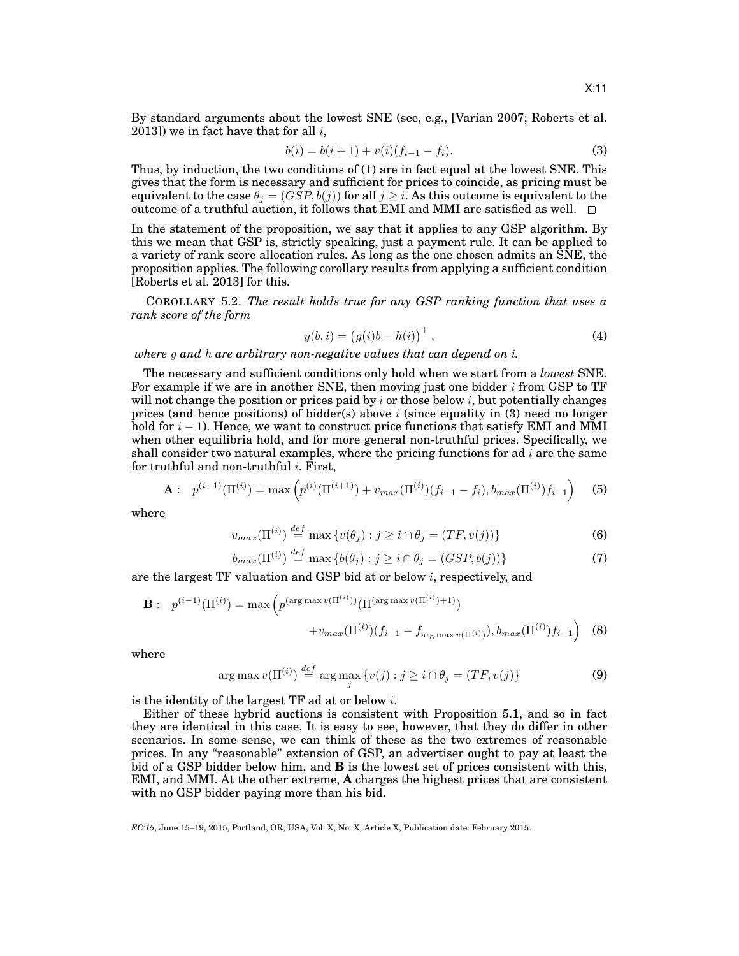By standard arguments about the lowest SNE (see, e.g., [Varian 2007; Roberts et al. 2013]) we in fact have that for all  $i$ ,

$$
b(i) = b(i+1) + v(i)(f_{i-1} - f_i).
$$
\n(3)

Thus, by induction, the two conditions of (1) are in fact equal at the lowest SNE. This gives that the form is necessary and sufficient for prices to coincide, as pricing must be equivalent to the case  $\theta_i = (GSP, b(j))$  for all  $j \geq i$ . As this outcome is equivalent to the outcome of a truthful auction, it follows that EMI and MMI are satisfied as well.  $\Box$ 

In the statement of the proposition, we say that it applies to any GSP algorithm. By this we mean that GSP is, strictly speaking, just a payment rule. It can be applied to a variety of rank score allocation rules. As long as the one chosen admits an SNE, the proposition applies. The following corollary results from applying a sufficient condition [Roberts et al. 2013] for this.

COROLLARY 5.2. *The result holds true for any GSP ranking function that uses a rank score of the form*

$$
y(b, i) = (g(i)b - h(i))^{+},
$$
\n(4)

*where* g *and* h *are arbitrary non-negative values that can depend on* i*.*

The necessary and sufficient conditions only hold when we start from a *lowest* SNE. For example if we are in another SNE, then moving just one bidder  $i$  from GSP to TF will not change the position or prices paid by  $i$  or those below  $i$ , but potentially changes prices (and hence positions) of bidder(s) above i (since equality in  $(3)$  need no longer hold for  $i - 1$ ). Hence, we want to construct price functions that satisfy EMI and MMI when other equilibria hold, and for more general non-truthful prices. Specifically, we shall consider two natural examples, where the pricing functions for ad  $i$  are the same for truthful and non-truthful i. First,

$$
\mathbf{A}: \ \ p^{(i-1)}(\Pi^{(i)}) = \max\left(p^{(i)}(\Pi^{(i+1)}) + v_{max}(\Pi^{(i)})(f_{i-1} - f_i), b_{max}(\Pi^{(i)})f_{i-1}\right) \tag{5}
$$

where

$$
v_{max}(\Pi^{(i)}) \stackrel{def}{=} \max \{ v(\theta_j) : j \ge i \cap \theta_j = (TF, v(j)) \}
$$
(6)

$$
b_{max}(\Pi^{(i)}) \stackrel{def}{=} \max \{b(\theta_j) : j \ge i \cap \theta_j = (GSP, b(j))\}
$$
\n(7)

are the largest TF valuation and GSP bid at or below i, respectively, and

$$
\mathbf{B}: \quad p^{(i-1)}(\Pi^{(i)}) = \max\left(p^{(\arg \max v(\Pi^{(i)}))}(\Pi^{(\arg \max v(\Pi^{(i)})+1)}) + v_{max}(\Pi^{(i)})(f_{i-1} - f_{\arg \max v(\Pi^{(i)})}), b_{max}(\Pi^{(i)})f_{i-1}\right) \tag{8}
$$

where

$$
\arg \max v(\Pi^{(i)}) \stackrel{\text{def}}{=} \arg \max_{j} \{v(j) : j \ge i \cap \theta_j = (TF, v(j))\}
$$
\n(9)

is the identity of the largest  $TF$  ad at or below *i*.

Either of these hybrid auctions is consistent with Proposition 5.1, and so in fact they are identical in this case. It is easy to see, however, that they do differ in other scenarios. In some sense, we can think of these as the two extremes of reasonable prices. In any "reasonable" extension of GSP, an advertiser ought to pay at least the bid of a GSP bidder below him, and **B** is the lowest set of prices consistent with this, EMI, and MMI. At the other extreme, **A** charges the highest prices that are consistent with no GSP bidder paying more than his bid.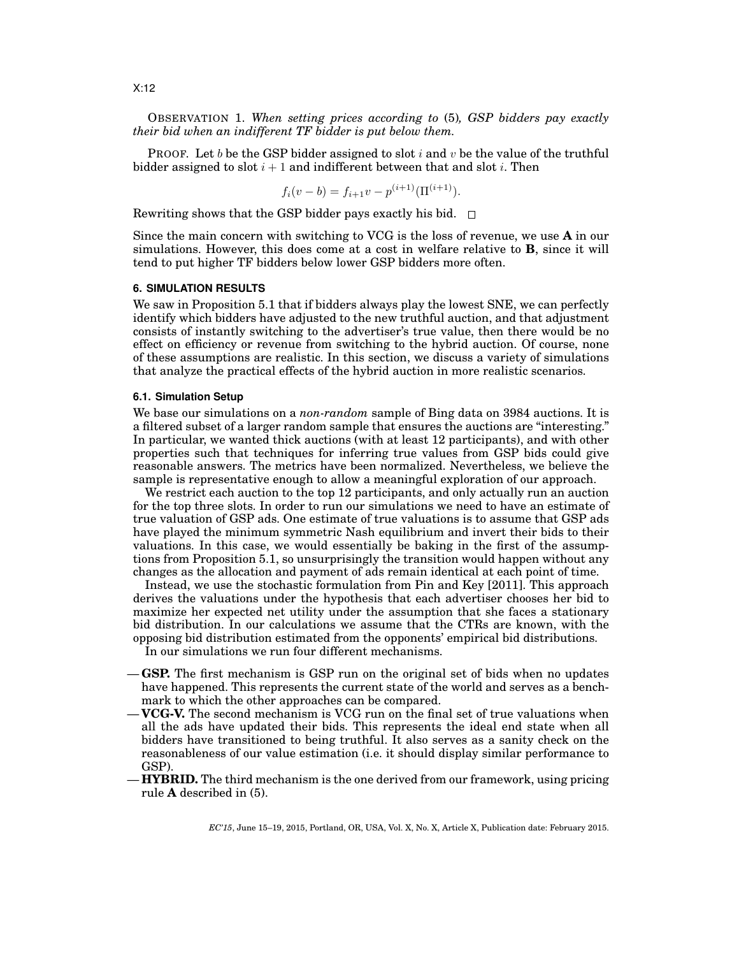OBSERVATION 1. *When setting prices according to* (5)*, GSP bidders pay exactly their bid when an indifferent TF bidder is put below them.*

PROOF. Let b be the GSP bidder assigned to slot i and  $v$  be the value of the truthful bidder assigned to slot  $i + 1$  and indifferent between that and slot i. Then

$$
f_i(v - b) = f_{i+1}v - p^{(i+1)}(\Pi^{(i+1)}).
$$

Rewriting shows that the GSP bidder pays exactly his bid.  $\Box$ 

Since the main concern with switching to VCG is the loss of revenue, we use **A** in our simulations. However, this does come at a cost in welfare relative to **B**, since it will tend to put higher TF bidders below lower GSP bidders more often.

#### **6. SIMULATION RESULTS**

We saw in Proposition 5.1 that if bidders always play the lowest SNE, we can perfectly identify which bidders have adjusted to the new truthful auction, and that adjustment consists of instantly switching to the advertiser's true value, then there would be no effect on efficiency or revenue from switching to the hybrid auction. Of course, none of these assumptions are realistic. In this section, we discuss a variety of simulations that analyze the practical effects of the hybrid auction in more realistic scenarios.

### **6.1. Simulation Setup**

We base our simulations on a *non-random* sample of Bing data on 3984 auctions. It is a filtered subset of a larger random sample that ensures the auctions are "interesting." In particular, we wanted thick auctions (with at least 12 participants), and with other properties such that techniques for inferring true values from GSP bids could give reasonable answers. The metrics have been normalized. Nevertheless, we believe the sample is representative enough to allow a meaningful exploration of our approach.

We restrict each auction to the top 12 participants, and only actually run an auction for the top three slots. In order to run our simulations we need to have an estimate of true valuation of GSP ads. One estimate of true valuations is to assume that GSP ads have played the minimum symmetric Nash equilibrium and invert their bids to their valuations. In this case, we would essentially be baking in the first of the assumptions from Proposition 5.1, so unsurprisingly the transition would happen without any changes as the allocation and payment of ads remain identical at each point of time.

Instead, we use the stochastic formulation from Pin and Key [2011]. This approach derives the valuations under the hypothesis that each advertiser chooses her bid to maximize her expected net utility under the assumption that she faces a stationary bid distribution. In our calculations we assume that the CTRs are known, with the opposing bid distribution estimated from the opponents' empirical bid distributions.

In our simulations we run four different mechanisms.

- **GSP.** The first mechanism is GSP run on the original set of bids when no updates have happened. This represents the current state of the world and serves as a benchmark to which the other approaches can be compared.
- **VCG-V.** The second mechanism is VCG run on the final set of true valuations when all the ads have updated their bids. This represents the ideal end state when all bidders have transitioned to being truthful. It also serves as a sanity check on the reasonableness of our value estimation (i.e. it should display similar performance to GSP).
- **HYBRID.** The third mechanism is the one derived from our framework, using pricing rule **A** described in (5).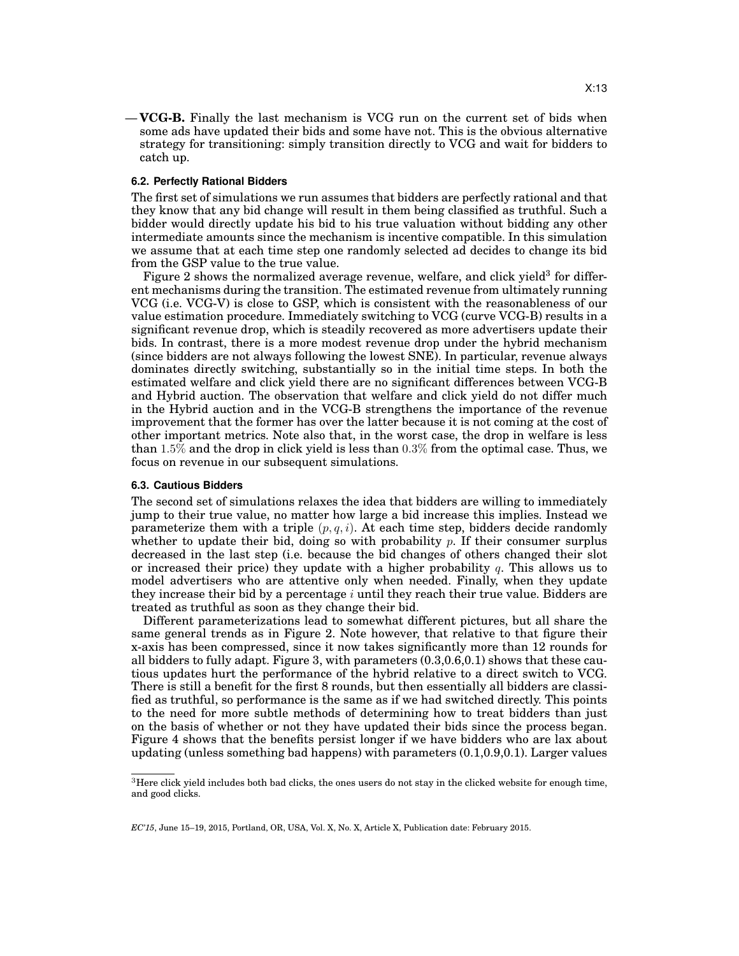— **VCG-B.** Finally the last mechanism is VCG run on the current set of bids when some ads have updated their bids and some have not. This is the obvious alternative strategy for transitioning: simply transition directly to VCG and wait for bidders to catch up.

### **6.2. Perfectly Rational Bidders**

The first set of simulations we run assumes that bidders are perfectly rational and that they know that any bid change will result in them being classified as truthful. Such a bidder would directly update his bid to his true valuation without bidding any other intermediate amounts since the mechanism is incentive compatible. In this simulation we assume that at each time step one randomly selected ad decides to change its bid from the GSP value to the true value.

Figure 2 shows the normalized average revenue, welfare, and click yield<sup>3</sup> for different mechanisms during the transition. The estimated revenue from ultimately running VCG (i.e. VCG-V) is close to GSP, which is consistent with the reasonableness of our value estimation procedure. Immediately switching to VCG (curve VCG-B) results in a significant revenue drop, which is steadily recovered as more advertisers update their bids. In contrast, there is a more modest revenue drop under the hybrid mechanism (since bidders are not always following the lowest SNE). In particular, revenue always dominates directly switching, substantially so in the initial time steps. In both the estimated welfare and click yield there are no significant differences between VCG-B and Hybrid auction. The observation that welfare and click yield do not differ much in the Hybrid auction and in the VCG-B strengthens the importance of the revenue improvement that the former has over the latter because it is not coming at the cost of other important metrics. Note also that, in the worst case, the drop in welfare is less than 1.5% and the drop in click yield is less than 0.3% from the optimal case. Thus, we focus on revenue in our subsequent simulations.

#### **6.3. Cautious Bidders**

The second set of simulations relaxes the idea that bidders are willing to immediately jump to their true value, no matter how large a bid increase this implies. Instead we parameterize them with a triple  $(p, q, i)$ . At each time step, bidders decide randomly whether to update their bid, doing so with probability  $p$ . If their consumer surplus decreased in the last step (i.e. because the bid changes of others changed their slot or increased their price) they update with a higher probability  $q$ . This allows us to model advertisers who are attentive only when needed. Finally, when they update they increase their bid by a percentage  $i$  until they reach their true value. Bidders are treated as truthful as soon as they change their bid.

Different parameterizations lead to somewhat different pictures, but all share the same general trends as in Figure 2. Note however, that relative to that figure their x-axis has been compressed, since it now takes significantly more than 12 rounds for all bidders to fully adapt. Figure 3, with parameters (0.3,0.6,0.1) shows that these cautious updates hurt the performance of the hybrid relative to a direct switch to VCG. There is still a benefit for the first 8 rounds, but then essentially all bidders are classified as truthful, so performance is the same as if we had switched directly. This points to the need for more subtle methods of determining how to treat bidders than just on the basis of whether or not they have updated their bids since the process began. Figure 4 shows that the benefits persist longer if we have bidders who are lax about updating (unless something bad happens) with parameters (0.1,0.9,0.1). Larger values

 $3$ Here click yield includes both bad clicks, the ones users do not stay in the clicked website for enough time, and good clicks.

*EC'15*, June 15–19, 2015, Portland, OR, USA, Vol. X, No. X, Article X, Publication date: February 2015.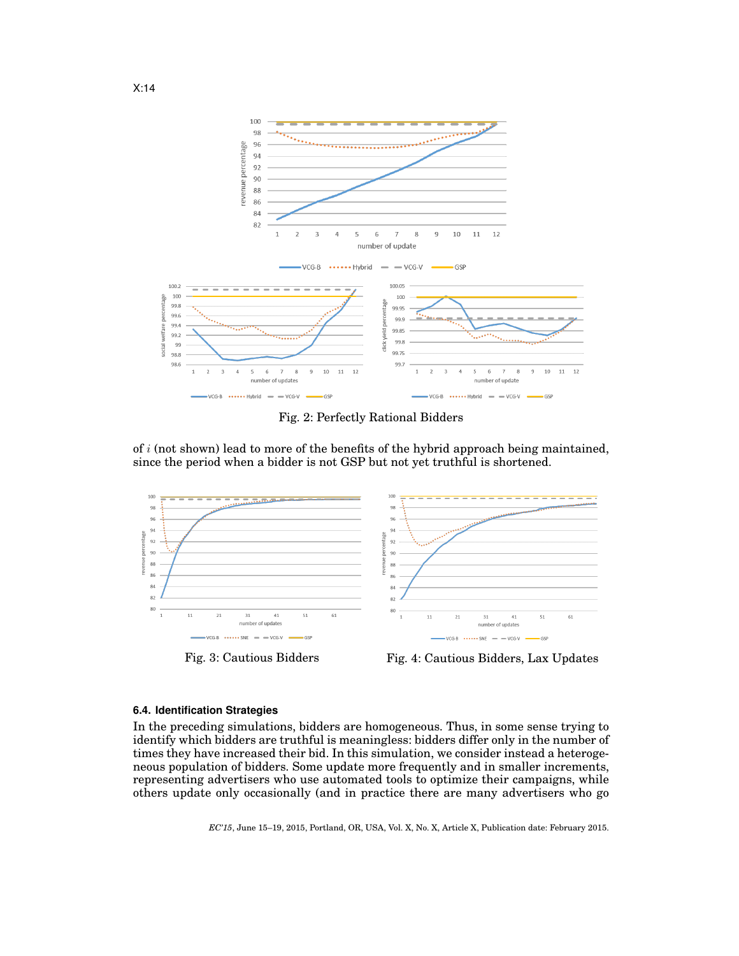

Fig. 2: Perfectly Rational Bidders

of  $i$  (not shown) lead to more of the benefits of the hybrid approach being maintained, since the period when a bidder is not GSP but not yet truthful is shortened.



Fig. 3: Cautious Bidders Fig. 4: Cautious Bidders, Lax Updates

#### **6.4. Identification Strategies**

In the preceding simulations, bidders are homogeneous. Thus, in some sense trying to identify which bidders are truthful is meaningless: bidders differ only in the number of times they have increased their bid. In this simulation, we consider instead a heterogeneous population of bidders. Some update more frequently and in smaller increments, representing advertisers who use automated tools to optimize their campaigns, while others update only occasionally (and in practice there are many advertisers who go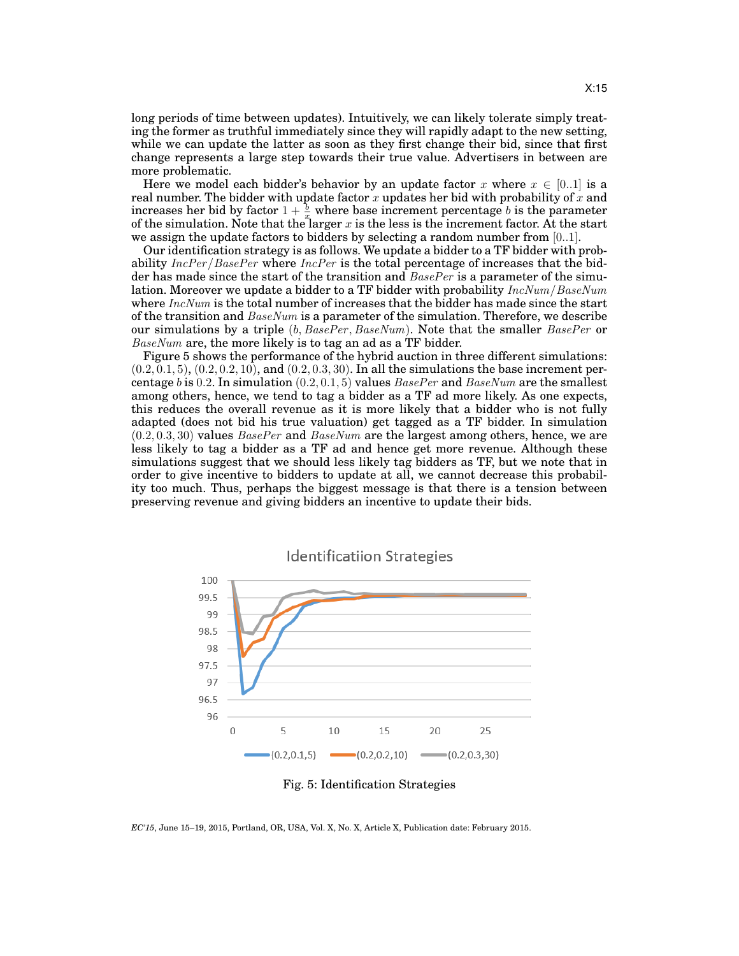long periods of time between updates). Intuitively, we can likely tolerate simply treating the former as truthful immediately since they will rapidly adapt to the new setting, while we can update the latter as soon as they first change their bid, since that first change represents a large step towards their true value. Advertisers in between are more problematic.

Here we model each bidder's behavior by an update factor x where  $x \in [0..1]$  is a real number. The bidder with update factor x updates her bid with probability of x and increases her bid by factor  $1 + \frac{b}{x}$  where base increment percentage b is the parameter of the simulation. Note that the larger  $x$  is the less is the increment factor. At the start we assign the update factors to bidders by selecting a random number from [0..1].

Our identification strategy is as follows. We update a bidder to a TF bidder with probability  $IncPer/BasePer$  where  $IncPer$  is the total percentage of increases that the bidder has made since the start of the transition and  $BasePer$  is a parameter of the simulation. Moreover we update a bidder to a TF bidder with probability  $IncNum/BaseNum$ where  $IncNum$  is the total number of increases that the bidder has made since the start of the transition and  $BaseNum$  is a parameter of the simulation. Therefore, we describe our simulations by a triple  $(b, BasePer, BaseNum)$ . Note that the smaller  $BasePer$  or BaseNum are, the more likely is to tag an ad as a TF bidder.

Figure 5 shows the performance of the hybrid auction in three different simulations:  $(0.2, 0.1, 5)$ ,  $(0.2, 0.2, 10)$ , and  $(0.2, 0.3, 30)$ . In all the simulations the base increment percentage b is 0.2. In simulation  $(0.2, 0.1, 5)$  values  $BasePer$  and  $BaseNum$  are the smallest among others, hence, we tend to tag a bidder as a TF ad more likely. As one expects, this reduces the overall revenue as it is more likely that a bidder who is not fully adapted (does not bid his true valuation) get tagged as a TF bidder. In simulation  $(0.2, 0.3, 30)$  values  $BasePer$  and  $BaseNum$  are the largest among others, hence, we are less likely to tag a bidder as a TF ad and hence get more revenue. Although these simulations suggest that we should less likely tag bidders as TF, but we note that in order to give incentive to bidders to update at all, we cannot decrease this probability too much. Thus, perhaps the biggest message is that there is a tension between preserving revenue and giving bidders an incentive to update their bids.





*EC'15*, June 15–19, 2015, Portland, OR, USA, Vol. X, No. X, Article X, Publication date: February 2015.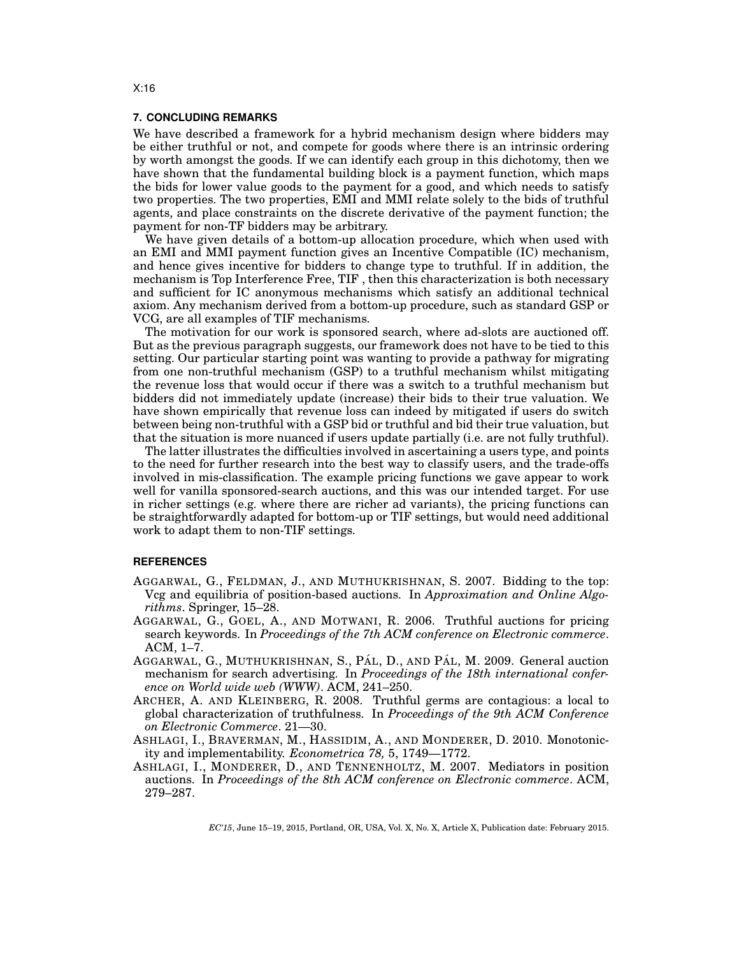#### **7. CONCLUDING REMARKS**

We have described a framework for a hybrid mechanism design where bidders may be either truthful or not, and compete for goods where there is an intrinsic ordering by worth amongst the goods. If we can identify each group in this dichotomy, then we have shown that the fundamental building block is a payment function, which maps the bids for lower value goods to the payment for a good, and which needs to satisfy two properties. The two properties, EMI and MMI relate solely to the bids of truthful agents, and place constraints on the discrete derivative of the payment function; the payment for non-TF bidders may be arbitrary.

We have given details of a bottom-up allocation procedure, which when used with an EMI and MMI payment function gives an Incentive Compatible (IC) mechanism, and hence gives incentive for bidders to change type to truthful. If in addition, the mechanism is Top Interference Free, TIF , then this characterization is both necessary and sufficient for IC anonymous mechanisms which satisfy an additional technical axiom. Any mechanism derived from a bottom-up procedure, such as standard GSP or VCG, are all examples of TIF mechanisms.

The motivation for our work is sponsored search, where ad-slots are auctioned off. But as the previous paragraph suggests, our framework does not have to be tied to this setting. Our particular starting point was wanting to provide a pathway for migrating from one non-truthful mechanism (GSP) to a truthful mechanism whilst mitigating the revenue loss that would occur if there was a switch to a truthful mechanism but bidders did not immediately update (increase) their bids to their true valuation. We have shown empirically that revenue loss can indeed by mitigated if users do switch between being non-truthful with a GSP bid or truthful and bid their true valuation, but that the situation is more nuanced if users update partially (i.e. are not fully truthful).

The latter illustrates the difficulties involved in ascertaining a users type, and points to the need for further research into the best way to classify users, and the trade-offs involved in mis-classification. The example pricing functions we gave appear to work well for vanilla sponsored-search auctions, and this was our intended target. For use in richer settings (e.g. where there are richer ad variants), the pricing functions can be straightforwardly adapted for bottom-up or TIF settings, but would need additional work to adapt them to non-TIF settings.

#### **REFERENCES**

- AGGARWAL, G., FELDMAN, J., AND MUTHUKRISHNAN, S. 2007. Bidding to the top: Vcg and equilibria of position-based auctions. In *Approximation and Online Algorithms*. Springer, 15–28.
- AGGARWAL, G., GOEL, A., AND MOTWANI, R. 2006. Truthful auctions for pricing search keywords. In *Proceedings of the 7th ACM conference on Electronic commerce*. ACM, 1–7.
- AGGARWAL, G., MUTHUKRISHNAN, S., PÁL, D., AND PÁL, M. 2009. General auction mechanism for search advertising. In *Proceedings of the 18th international conference on World wide web (WWW)*. ACM, 241–250.
- ARCHER, A. AND KLEINBERG, R. 2008. Truthful germs are contagious: a local to global characterization of truthfulness. In *Proceedings of the 9th ACM Conference on Electronic Commerce*. 21—30.
- ASHLAGI, I., BRAVERMAN, M., HASSIDIM, A., AND MONDERER, D. 2010. Monotonicity and implementability. *Econometrica 78,* 5, 1749—1772.
- ASHLAGI, I., MONDERER, D., AND TENNENHOLTZ, M. 2007. Mediators in position auctions. In *Proceedings of the 8th ACM conference on Electronic commerce*. ACM, 279–287.

*EC'15*, June 15–19, 2015, Portland, OR, USA, Vol. X, No. X, Article X, Publication date: February 2015.

#### X:16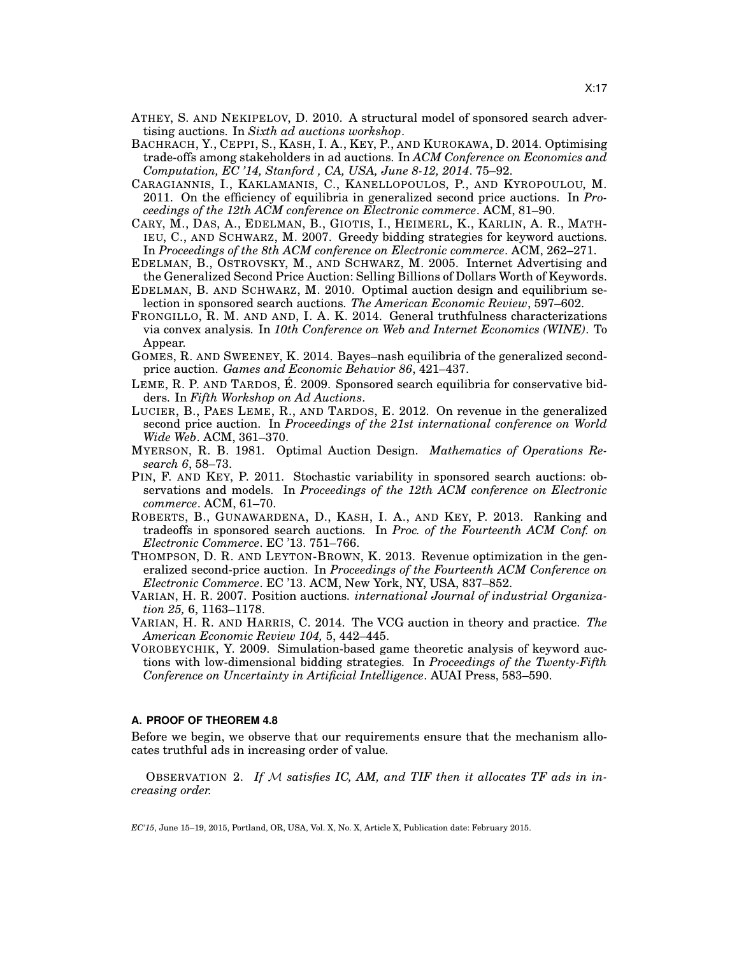- ATHEY, S. AND NEKIPELOV, D. 2010. A structural model of sponsored search advertising auctions. In *Sixth ad auctions workshop*.
- BACHRACH, Y., CEPPI, S., KASH, I. A., KEY, P., AND KUROKAWA, D. 2014. Optimising trade-offs among stakeholders in ad auctions. In *ACM Conference on Economics and Computation, EC '14, Stanford , CA, USA, June 8-12, 2014*. 75–92.
- CARAGIANNIS, I., KAKLAMANIS, C., KANELLOPOULOS, P., AND KYROPOULOU, M. 2011. On the efficiency of equilibria in generalized second price auctions. In *Proceedings of the 12th ACM conference on Electronic commerce*. ACM, 81–90.
- CARY, M., DAS, A., EDELMAN, B., GIOTIS, I., HEIMERL, K., KARLIN, A. R., MATH-IEU, C., AND SCHWARZ, M. 2007. Greedy bidding strategies for keyword auctions. In *Proceedings of the 8th ACM conference on Electronic commerce*. ACM, 262–271.
- EDELMAN, B., OSTROVSKY, M., AND SCHWARZ, M. 2005. Internet Advertising and the Generalized Second Price Auction: Selling Billions of Dollars Worth of Keywords.
- EDELMAN, B. AND SCHWARZ, M. 2010. Optimal auction design and equilibrium selection in sponsored search auctions. *The American Economic Review*, 597–602.
- FRONGILLO, R. M. AND AND, I. A. K. 2014. General truthfulness characterizations via convex analysis. In *10th Conference on Web and Internet Economics (WINE)*. To Appear.
- GOMES, R. AND SWEENEY, K. 2014. Bayes–nash equilibria of the generalized secondprice auction. *Games and Economic Behavior 86*, 421–437.
- LEME, R. P. AND TARDOS, É. 2009. Sponsored search equilibria for conservative bidders. In *Fifth Workshop on Ad Auctions*.
- LUCIER, B., PAES LEME, R., AND TARDOS, E. 2012. On revenue in the generalized second price auction. In *Proceedings of the 21st international conference on World Wide Web*. ACM, 361–370.
- MYERSON, R. B. 1981. Optimal Auction Design. *Mathematics of Operations Research 6*, 58–73.
- PIN, F. AND KEY, P. 2011. Stochastic variability in sponsored search auctions: observations and models. In *Proceedings of the 12th ACM conference on Electronic commerce*. ACM, 61–70.
- ROBERTS, B., GUNAWARDENA, D., KASH, I. A., AND KEY, P. 2013. Ranking and tradeoffs in sponsored search auctions. In *Proc. of the Fourteenth ACM Conf. on Electronic Commerce*. EC '13. 751–766.
- THOMPSON, D. R. AND LEYTON-BROWN, K. 2013. Revenue optimization in the generalized second-price auction. In *Proceedings of the Fourteenth ACM Conference on Electronic Commerce*. EC '13. ACM, New York, NY, USA, 837–852.
- VARIAN, H. R. 2007. Position auctions. *international Journal of industrial Organization 25,* 6, 1163–1178.
- VARIAN, H. R. AND HARRIS, C. 2014. The VCG auction in theory and practice. *The American Economic Review 104,* 5, 442–445.
- VOROBEYCHIK, Y. 2009. Simulation-based game theoretic analysis of keyword auctions with low-dimensional bidding strategies. In *Proceedings of the Twenty-Fifth Conference on Uncertainty in Artificial Intelligence*. AUAI Press, 583–590.

## **A. PROOF OF THEOREM 4.8**

Before we begin, we observe that our requirements ensure that the mechanism allocates truthful ads in increasing order of value.

OBSERVATION 2. *If* M *satisfies IC, AM, and TIF then it allocates TF ads in increasing order.*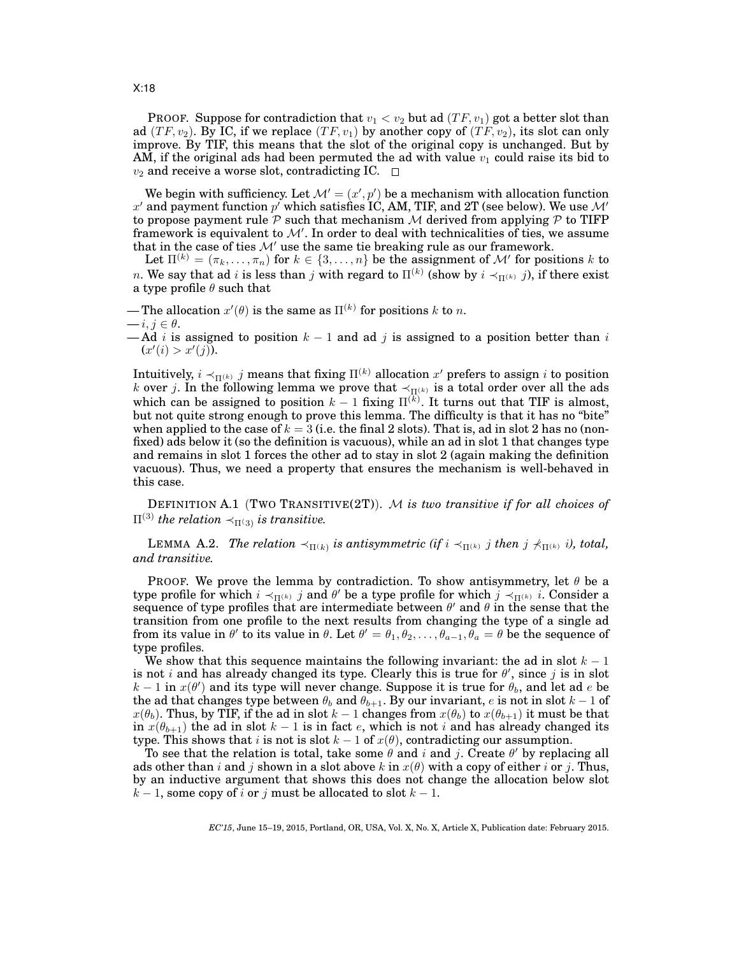PROOF. Suppose for contradiction that  $v_1 < v_2$  but ad  $(TF, v_1)$  got a better slot than ad  $(TF, v_2)$ . By IC, if we replace  $(TF, v_1)$  by another copy of  $(TF, v_2)$ , its slot can only improve. By TIF, this means that the slot of the original copy is unchanged. But by AM, if the original ads had been permuted the ad with value  $v_1$  could raise its bid to  $v_2$  and receive a worse slot, contradicting IC.  $\Box$ 

We begin with sufficiency. Let  $\mathcal{M}' = (x', p')$  be a mechanism with allocation function  $x'$  and payment function  $p'$  which satisfies IC, AM, TIF, and 2T (see below). We use  $\mathcal{M}'$ to propose payment rule  $P$  such that mechanism M derived from applying  $P$  to TIFP framework is equivalent to  $\mathcal{M}'$ . In order to deal with technicalities of ties, we assume that in the case of ties  $M'$  use the same tie breaking rule as our framework.

Let  $\Pi^{(k)}=(\pi_k,\ldots,\pi_n)$  for  $k\in\{3,\ldots,n\}$  be the assignment of  $\mathcal M'$  for positions  $k$  to n. We say that ad  $i$  is less than  $j$  with regard to  $\Pi^{(k)}$  (show by  $i\prec_{\Pi^{(k)}}j$ ), if there exist a type profile  $\theta$  such that

— The allocation  $x'(\theta)$  is the same as  $\Pi^{(k)}$  for positions k to n.

 $\lambda - i, j \in \theta.$ 

— Ad i is assigned to position  $k-1$  and ad j is assigned to a position better than i  $(x'(i) > x'(j)).$ 

Intuitively,  $i\prec_{\Pi^{(k)}} j$  means that fixing  $\Pi^{(k)}$  allocation  $x'$  prefers to assign  $i$  to position k over  $j.$  In the following lemma we prove that  $\prec_{\Pi^{(k)}}$  is a total order over all the ads which can be assigned to position  $k-1$  fixing  $\Pi^{(k)}$ . It turns out that TIF is almost, but not quite strong enough to prove this lemma. The difficulty is that it has no "bite" when applied to the case of  $k = 3$  (i.e. the final 2 slots). That is, ad in slot 2 has no (nonfixed) ads below it (so the definition is vacuous), while an ad in slot 1 that changes type and remains in slot 1 forces the other ad to stay in slot 2 (again making the definition vacuous). Thus, we need a property that ensures the mechanism is well-behaved in this case.

DEFINITION A.1 (TWO TRANSITIVE(2T)). M *is two transitive if for all choices of*  $\Pi^{(3)}$  *the relation*  $\prec_{\Pi(3)}$  *is transitive.* 

LEMMA A.2. *The relation*  $\prec_{\Pi(k)}$  is antisymmetric (if  $i \prec_{\Pi(k)} j$  then  $j \nprec_{\Pi(k)} i$ ), total, *and transitive.*

PROOF. We prove the lemma by contradiction. To show antisymmetry, let  $\theta$  be a type profile for which  $i\prec_{\Pi^{(k)}} j$  and  $\theta'$  be a type profile for which  $j\prec_{\Pi^{(k)}} i.$  Consider a sequence of type profiles that are intermediate between  $\theta'$  and  $\theta$  in the sense that the transition from one profile to the next results from changing the type of a single ad from its value in  $\theta'$  to its value in  $\theta$ . Let  $\theta' = \theta_1, \theta_2, \dots, \theta_{a-1}, \tilde{\theta}_a = \theta$  be the sequence of type profiles.

We show that this sequence maintains the following invariant: the ad in slot  $k - 1$ is not i and has already changed its type. Clearly this is true for  $\theta'$ , since j is in slot  $k-1$  in  $x(\theta')$  and its type will never change. Suppose it is true for  $\theta_b$ , and let ad  $e$  be the ad that changes type between  $\theta_b$  and  $\theta_{b+1}$ . By our invariant, e is not in slot  $k-1$  of  $x(\theta_b)$ . Thus, by TIF, if the ad in slot  $k-1$  changes from  $x(\theta_b)$  to  $x(\theta_{b+1})$  it must be that in  $x(\theta_{b+1})$  the ad in slot  $k-1$  is in fact e, which is not i and has already changed its type. This shows that *i* is not is slot  $k - 1$  of  $x(\theta)$ , contradicting our assumption.

To see that the relation is total, take some  $\theta$  and i and j. Create  $\theta'$  by replacing all ads other than i and j shown in a slot above k in  $x(\theta)$  with a copy of either i or j. Thus, by an inductive argument that shows this does not change the allocation below slot  $k-1$ , some copy of i or j must be allocated to slot  $k-1$ .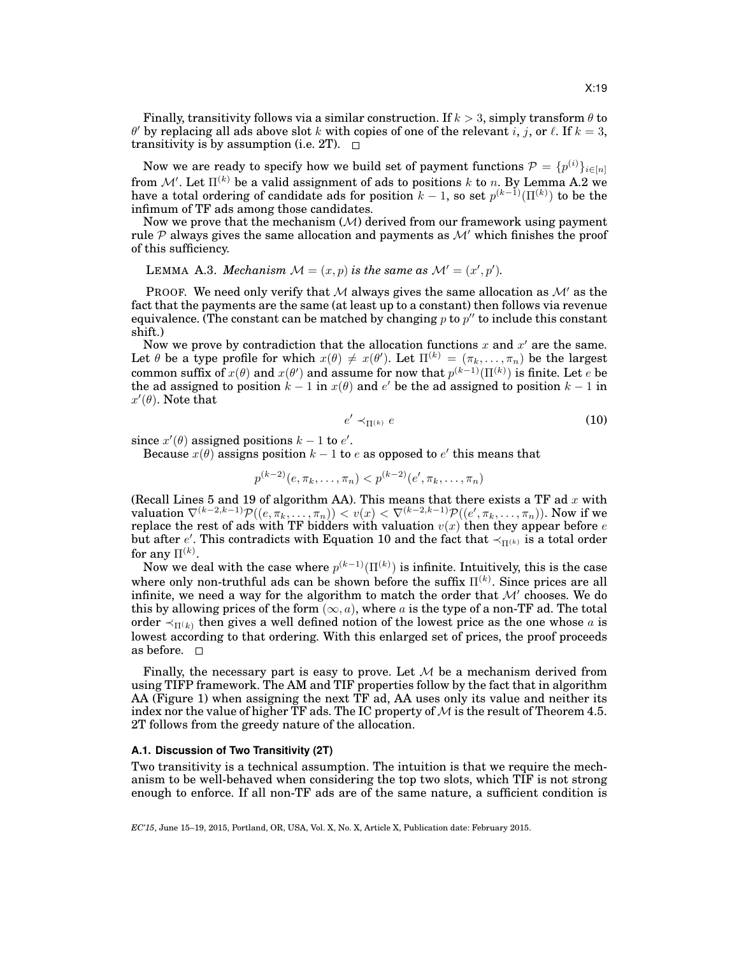Finally, transitivity follows via a similar construction. If  $k > 3$ , simply transform  $\theta$  to  $\theta'$  by replacing all ads above slot k with copies of one of the relevant i, j, or  $\ell$ . If  $k = 3$ , transitivity is by assumption (i.e. 2T).  $\Box$ 

Now we are ready to specify how we build set of payment functions  $\mathcal{P}=\{p^{(i)}\}_{i\in[n]}$ from  $\mathcal{M}'.$  Let  $\Pi^{(k)}$  be a valid assignment of ads to positions  $k$  to  $n.$  By Lemma A.2 we have a total ordering of candidate ads for position  $k-1$ , so set  $p^{(k-1)}(\Pi^{(k)})$  to be the infimum of TF ads among those candidates.

Now we prove that the mechanism  $(M)$  derived from our framework using payment rule  $P$  always gives the same allocation and payments as  $M'$  which finishes the proof of this sufficiency.

LEMMA A.3. *Mechanism*  $M = (x, p)$  *is the same as*  $M' = (x', p')$ *.* 

PROOF. We need only verify that M always gives the same allocation as  $\mathcal{M}'$  as the fact that the payments are the same (at least up to a constant) then follows via revenue equivalence. (The constant can be matched by changing p to  $p''$  to include this constant shift.)

Now we prove by contradiction that the allocation functions  $x$  and  $x'$  are the same. Let  $\theta$  be a type profile for which  $x(\theta) \neq x(\theta')$ . Let  $\Pi^{(k)} = (\pi_k, \ldots, \pi_n)$  be the largest common suffix of  $x(\theta)$  and  $x(\theta')$  and assume for now that  $p^{(k-1)}(\Pi^{(k)})$  is finite. Let  $e$  be the ad assigned to position  $k-1$  in  $x(\theta)$  and  $e'$  be the ad assigned to position  $k-1$  in  $x'(\theta)$ . Note that

$$
e' \prec_{\Pi^{(k)}} e \tag{10}
$$

since  $x'(\theta)$  assigned positions  $k - 1$  to  $e'$ .

Because  $x(\theta)$  assigns position  $k-1$  to e as opposed to e' this means that

$$
p^{(k-2)}(e, \pi_k, \dots, \pi_n) < p^{(k-2)}(e', \pi_k, \dots, \pi_n)
$$

(Recall Lines 5 and 19 of algorithm AA). This means that there exists a TF ad  $x$  with valuation  $\nabla^{(k-2,k-1)}\mathcal{P}((e,\pi_k,\ldots,\pi_n)) < v(x) < \nabla^{(k-2,k-1)}\mathcal{P}((e',\pi_k,\ldots,\pi_n)).$  Now if we replace the rest of ads with TF bidders with valuation  $v(x)$  then they appear before  $e$ but after  $e'$ . This contradicts with Equation 10 and the fact that  $\prec_{\Pi^{(k)}}$  is a total order for any  $\Pi^{(k)}.$ 

Now we deal with the case where  $p^{(k-1)}(\Pi^{(k)})$  is infinite. Intuitively, this is the case where only non-truthful ads can be shown before the suffix  $\Pi^{(k)}$ . Since prices are all infinite, we need a way for the algorithm to match the order that  $\mathcal{M}'$  chooses. We do this by allowing prices of the form  $(\infty, a)$ , where a is the type of a non-TF ad. The total order  $\prec_{\Pi(k)}$  then gives a well defined notion of the lowest price as the one whose  $a$  is lowest according to that ordering. With this enlarged set of prices, the proof proceeds as before.  $\square$ 

Finally, the necessary part is easy to prove. Let  $M$  be a mechanism derived from using TIFP framework. The AM and TIF properties follow by the fact that in algorithm AA (Figure 1) when assigning the next TF ad, AA uses only its value and neither its index nor the value of higher TF ads. The IC property of  $M$  is the result of Theorem 4.5. 2T follows from the greedy nature of the allocation.

#### **A.1. Discussion of Two Transitivity (2T)**

Two transitivity is a technical assumption. The intuition is that we require the mechanism to be well-behaved when considering the top two slots, which TIF is not strong enough to enforce. If all non-TF ads are of the same nature, a sufficient condition is

*EC'15*, June 15–19, 2015, Portland, OR, USA, Vol. X, No. X, Article X, Publication date: February 2015.